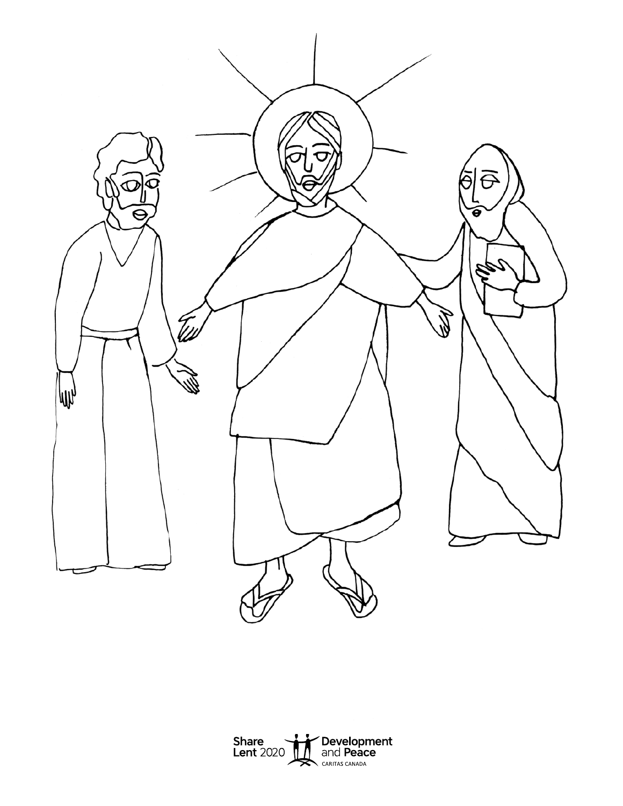